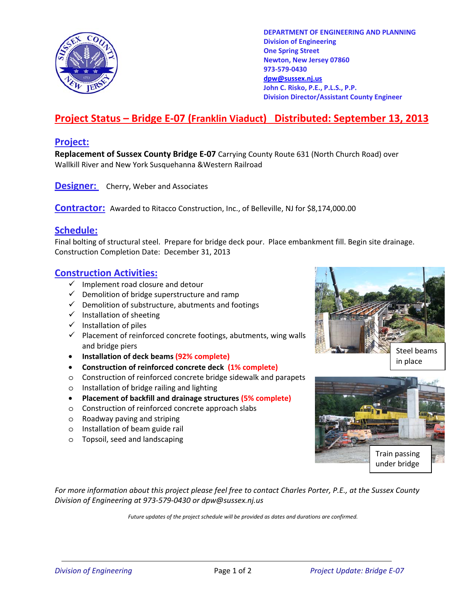

**DEPARTMENT OF ENGINEERING AND PLANNING Division of Engineering One Spring Street Newton, New Jersey 07860 973-579-0430 dpw@sussex.nj.us John C. Risko, P.E., P.L.S., P.P. Division Director/Assistant County Engineer** 

## **Project Status – Bridge E-07 (Franklin Viaduct) Distributed: September 13, 2013**

### **Project:**

**Replacement of Sussex County Bridge E-07** Carrying County Route 631 (North Church Road) over Wallkill River and New York Susquehanna &Western Railroad

**Designer:** Cherry, Weber and Associates

**Contractor:** Awarded to Ritacco Construction, Inc., of Belleville, NJ for \$8,174,000.00

### **Schedule:**

Final bolting of structural steel. Prepare for bridge deck pour. Place embankment fill. Begin site drainage. Construction Completion Date: December 31, 2013

#### **Construction Activities:**

- $\checkmark$  Implement road closure and detour
- $\checkmark$  Demolition of bridge superstructure and ramp
- $\checkmark$  Demolition of substructure, abutments and footings
- $\checkmark$  Installation of sheeting
- $\checkmark$  Installation of piles
- $\checkmark$  Placement of reinforced concrete footings, abutments, wing walls and bridge piers
- **Installation of deck beams (92% complete)**
- **Construction of reinforced concrete deck (1% complete)**
- o Construction of reinforced concrete bridge sidewalk and parapets
- o Installation of bridge railing and lighting
- **Placement of backfill and drainage structures (5% complete)**
- o Construction of reinforced concrete approach slabs
- o Roadway paving and striping
- o Installation of beam guide rail
- o Topsoil, seed and landscaping



in place



*For more information about this project please feel free to contact Charles Porter, P.E., at the Sussex County Division of Engineering at 973-579-0430 or dpw@sussex.nj.us* 

*Future updates of the project schedule will be provided as dates and durations are confirmed.*